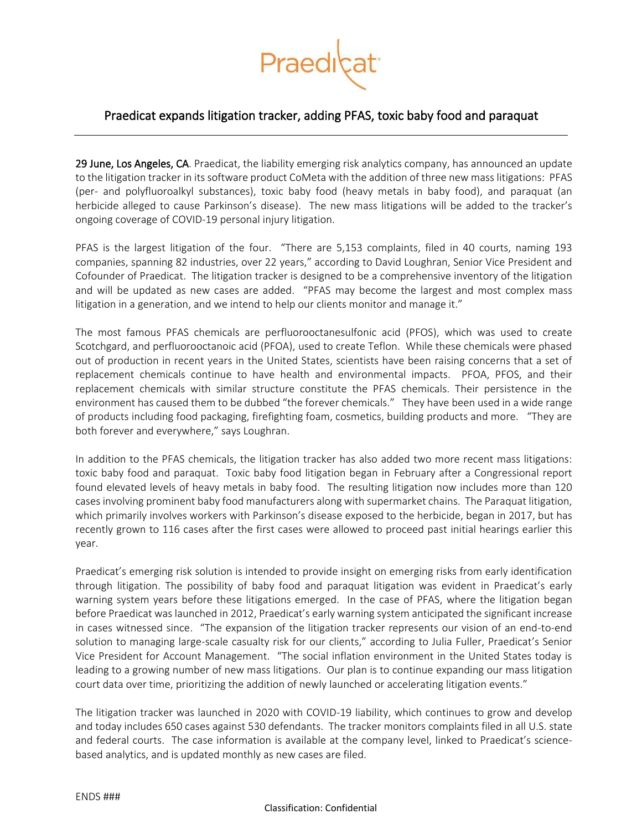

## Praedicat expands litigation tracker, adding PFAS, toxic baby food and paraquat

29 June, Los Angeles, CA. Praedicat, the liability emerging risk analytics company, has announced an update to the litigation tracker in its software product CoMeta with the addition of three new mass litigations: PFAS (per- and polyfluoroalkyl substances), toxic baby food (heavy metals in baby food), and paraquat (an herbicide alleged to cause Parkinson's disease). The new mass litigations will be added to the tracker's ongoing coverage of COVID-19 personal injury litigation.

PFAS is the largest litigation of the four. "There are 5,153 complaints, filed in 40 courts, naming 193 companies, spanning 82 industries, over 22 years," according to David Loughran, Senior Vice President and Cofounder of Praedicat. The litigation tracker is designed to be a comprehensive inventory of the litigation and will be updated as new cases are added. "PFAS may become the largest and most complex mass litigation in a generation, and we intend to help our clients monitor and manage it."

The most famous PFAS chemicals are perfluorooctanesulfonic acid (PFOS), which was used to create Scotchgard, and perfluorooctanoic acid (PFOA), used to create Teflon. While these chemicals were phased out of production in recent years in the United States, scientists have been raising concerns that a set of replacement chemicals continue to have health and environmental impacts. PFOA, PFOS, and their replacement chemicals with similar structure constitute the PFAS chemicals. Their persistence in the environment has caused them to be dubbed "the forever chemicals." They have been used in a wide range of products including food packaging, firefighting foam, cosmetics, building products and more. "They are both forever and everywhere," says Loughran.

In addition to the PFAS chemicals, the litigation tracker has also added two more recent mass litigations: toxic baby food and paraquat. Toxic baby food litigation began in February after a Congressional report found elevated levels of heavy metals in baby food. The resulting litigation now includes more than 120 cases involving prominent baby food manufacturers along with supermarket chains. The Paraquat litigation, which primarily involves workers with Parkinson's disease exposed to the herbicide, began in 2017, but has recently grown to 116 cases after the first cases were allowed to proceed past initial hearings earlier this year.

Praedicat's emerging risk solution is intended to provide insight on emerging risks from early identification through litigation. The possibility of baby food and paraquat litigation was evident in Praedicat's early warning system years before these litigations emerged. In the case of PFAS, where the litigation began before Praedicat was launched in 2012, Praedicat's early warning system anticipated the significant increase in cases witnessed since. "The expansion of the litigation tracker represents our vision of an end-to-end solution to managing large-scale casualty risk for our clients," according to Julia Fuller, Praedicat's Senior Vice President for Account Management. "The social inflation environment in the United States today is leading to a growing number of new mass litigations. Our plan is to continue expanding our mass litigation court data over time, prioritizing the addition of newly launched or accelerating litigation events."

The litigation tracker was launched in 2020 with COVID-19 liability, which continues to grow and develop and today includes 650 cases against 530 defendants. The tracker monitors complaints filed in all U.S. state and federal courts. The case information is available at the company level, linked to Praedicat's sciencebased analytics, and is updated monthly as new cases are filed.